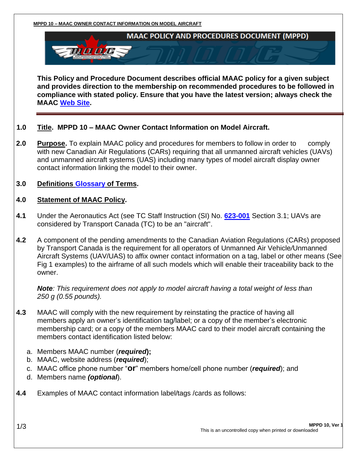**MPPD 10 – MAAC OWNER CONTACT INFORMATION ON MODEL AIRCRAFT**



**This Policy and Procedure Document describes official MAAC policy for a given subject and provides direction to the membership on recommended procedures to be followed in compliance with stated policy. Ensure that you have the latest version; always check the MAAC [Web Site.](http://www.maac.ca/en/index.php)**

#### **1.0 Title. MPPD 10 – MAAC Owner Contact Information on Model Aircraft.**

- **2.0 Purpose.** To explain MAAC policy and procedures for members to follow in order tocomply with new Canadian Air Regulations (CARs) requiring that all unmanned aircraft vehicles (UAVs) and unmanned aircraft systems (UAS) including many types of model aircraft display owner contact information linking the model to their owner.
- **3.0 Definitions [Glossary](https://secure.maac.ca/get_document.php?document_id=350) of Terms.**

#### **4.0 Statement of MAAC Policy.**

- **4.1** Under the Aeronautics Act (see TC Staff Instruction (SI) No. **[623-001](http://www.tc.gc.ca/eng/civilaviation/standards/general-recavi-uav-4161.html)** Section 3.1; UAVs are considered by Transport Canada (TC) to be an "aircraft".
- **4.2** A component of the pending amendments to the Canadian Aviation Regulations (CARs) proposed by Transport Canada is the requirement for all operators of Unmanned Air Vehicle*/*Unmanned Aircraft Systems (UAV/UAS) to affix owner contact information on a tag, label or other means (See Fig 1 examples) to the airframe of all such models which will enable their traceability back to the owner.

*Note: This requirement does not apply to model aircraft having a total weight of less than 250 g (0.55 pounds).*

- **4.3** MAAC will comply with the new requirement by reinstating the practice of having all members apply an owner's identification tag/label; or a copy of the member's electronic membership card; or a copy of the members MAAC card to their model aircraft containing the members contact identification listed below:
	- a. Members MAAC number (*required***);**
	- b. MAAC, website address (*required*);
	- c. MAAC office phone number "**or**" members home/cell phone number (*required*); and
	- d. Members name *(optional*).
- **4.4** Examples of MAAC contact information label/tags /cards as follows: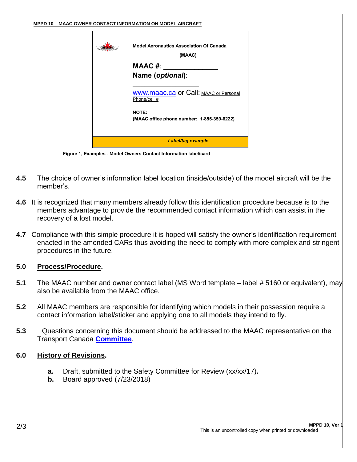| <b>Model Aeronautics Association Of Canada</b><br>(MAAC)     |
|--------------------------------------------------------------|
| <b>MAAC #:</b>                                               |
| Name (optional):                                             |
| <b>WWW.maac.ca or Call: MAAC or Personal</b><br>Phone/cell # |
| NOTE:<br>(MAAC office phone number: 1-855-359-6222)          |
| <b>Label/tag example</b>                                     |

- **4.5** The choice of owner's information label location (inside/outside) of the model aircraft will be the member's.
- **4.6** It is recognized that many members already follow this identification procedure because is to the members advantage to provide the recommended contact information which can assist in the recovery of a lost model.
- **4.7** Compliance with this simple procedure it is hoped will satisfy the owner's identification requirement enacted in the amended CARs thus avoiding the need to comply with more complex and stringent procedures in the future.

# **5.0 Process/Procedure.**

- **5.1** The MAAC number and owner contact label (MS Word template label # 5160 or equivalent), may also be available from the MAAC office.
- **5.2** All MAAC members are responsible for identifying which models in their possession require a contact information label/sticker and applying one to all models they intend to fly.
- **5.3** Questions concerning this document should be addressed to the MAAC representative on the Transport Canada **[Committee](http://www.maac.ca/en/committees_details.php?committee_id=43)**.

# **6.0 History of Revisions.**

- **a.** Draft, submitted to the Safety Committee for Review (xx/xx/17)**.**
- **b.** Board approved (7/23/2018)